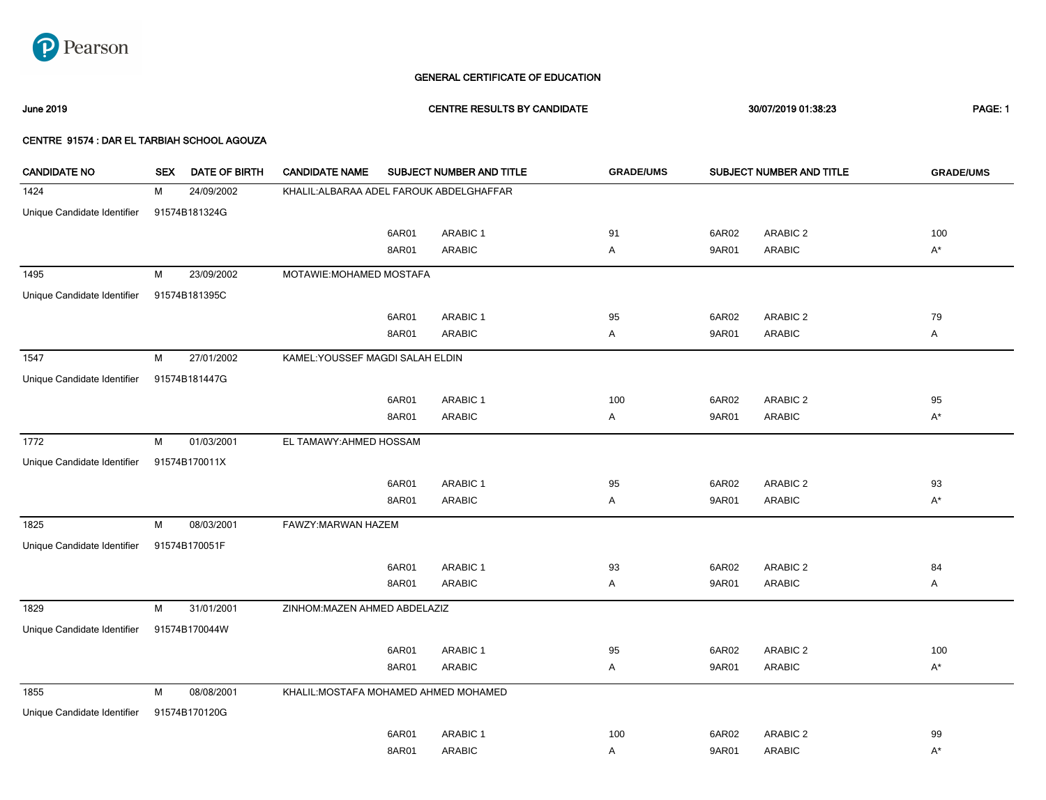

# GENERAL CERTIFICATE OF EDUCATION

June 2019 CENTRE RESULTS BY CANDIDATE 30/07/2019 01:38:23 PAGE: 1

### CENTRE 91574 : DAR EL TARBIAH SCHOOL AGOUZA

| <b>CANDIDATE NO</b>         | <b>SEX</b> | DATE OF BIRTH | <b>CANDIDATE NAME</b>                    | SUBJECT NUMBER AND TITLE         |                 | <b>GRADE/UMS</b> | SUBJECT NUMBER AND TITLE |                     |              |  |  |
|-----------------------------|------------|---------------|------------------------------------------|----------------------------------|-----------------|------------------|--------------------------|---------------------|--------------|--|--|
| 1424                        | м          | 24/09/2002    | KHALIL: ALBARAA ADEL FAROUK ABDELGHAFFAR |                                  |                 |                  |                          |                     |              |  |  |
| Unique Candidate Identifier |            | 91574B181324G |                                          |                                  |                 |                  |                          |                     |              |  |  |
|                             |            |               |                                          | 6AR01                            | ARABIC 1        | 91               | 6AR02                    | ARABIC 2            | 100          |  |  |
|                             |            |               |                                          | 8AR01                            | <b>ARABIC</b>   | Α                | 9AR01                    | <b>ARABIC</b>       | $A^*$        |  |  |
| 1495                        | M          | 23/09/2002    |                                          | MOTAWIE: MOHAMED MOSTAFA         |                 |                  |                          |                     |              |  |  |
| Unique Candidate Identifier |            | 91574B181395C |                                          |                                  |                 |                  |                          |                     |              |  |  |
|                             |            |               |                                          | 6AR01                            | ARABIC 1        | 95               | 6AR02                    | ARABIC 2            | 79           |  |  |
|                             |            |               |                                          | 8AR01                            | <b>ARABIC</b>   | Α                | 9AR01                    | <b>ARABIC</b>       | $\mathsf{A}$ |  |  |
| 1547                        | M          | 27/01/2002    |                                          | KAMEL: YOUSSEF MAGDI SALAH ELDIN |                 |                  |                          |                     |              |  |  |
| Unique Candidate Identifier |            | 91574B181447G |                                          |                                  |                 |                  |                          |                     |              |  |  |
|                             |            |               |                                          | 6AR01                            | <b>ARABIC 1</b> | 100              | 6AR02                    | ARABIC <sub>2</sub> | 95           |  |  |
|                             |            |               |                                          | 8AR01                            | <b>ARABIC</b>   | Α                | 9AR01                    | <b>ARABIC</b>       | $A^*$        |  |  |
| 1772                        | м          | 01/03/2001    |                                          | EL TAMAWY: AHMED HOSSAM          |                 |                  |                          |                     |              |  |  |
| Unique Candidate Identifier |            | 91574B170011X |                                          |                                  |                 |                  |                          |                     |              |  |  |
|                             |            |               |                                          | 6AR01                            | <b>ARABIC 1</b> | 95               | 6AR02                    | ARABIC <sub>2</sub> | 93           |  |  |
|                             |            |               |                                          | 8AR01                            | <b>ARABIC</b>   | Α                | 9AR01                    | <b>ARABIC</b>       | $A^*$        |  |  |
| 1825                        | M          | 08/03/2001    | FAWZY: MARWAN HAZEM                      |                                  |                 |                  |                          |                     |              |  |  |
| Unique Candidate Identifier |            | 91574B170051F |                                          |                                  |                 |                  |                          |                     |              |  |  |
|                             |            |               |                                          | 6AR01                            | ARABIC 1        | 93               | 6AR02                    | ARABIC 2            | 84           |  |  |
|                             |            |               |                                          | 8AR01                            | <b>ARABIC</b>   | Α                | 9AR01                    | <b>ARABIC</b>       | Α            |  |  |
| 1829                        | M          | 31/01/2001    | ZINHOM: MAZEN AHMED ABDELAZIZ            |                                  |                 |                  |                          |                     |              |  |  |
| Unique Candidate Identifier |            | 91574B170044W |                                          |                                  |                 |                  |                          |                     |              |  |  |
|                             |            |               |                                          | 6AR01                            | <b>ARABIC 1</b> | 95               | 6AR02                    | ARABIC 2            | 100          |  |  |
|                             |            |               |                                          | 8AR01                            | <b>ARABIC</b>   | Α                | 9AR01                    | <b>ARABIC</b>       | $A^*$        |  |  |
| 1855                        | M          | 08/08/2001    | KHALIL: MOSTAFA MOHAMED AHMED MOHAMED    |                                  |                 |                  |                          |                     |              |  |  |
| Unique Candidate Identifier |            | 91574B170120G |                                          |                                  |                 |                  |                          |                     |              |  |  |
|                             |            |               |                                          | 6AR01                            | <b>ARABIC 1</b> | 100              | 6AR02                    | ARABIC 2            | 99           |  |  |
|                             |            |               |                                          | 8AR01                            | <b>ARABIC</b>   | Α                | 9AR01                    | <b>ARABIC</b>       | $A^*$        |  |  |